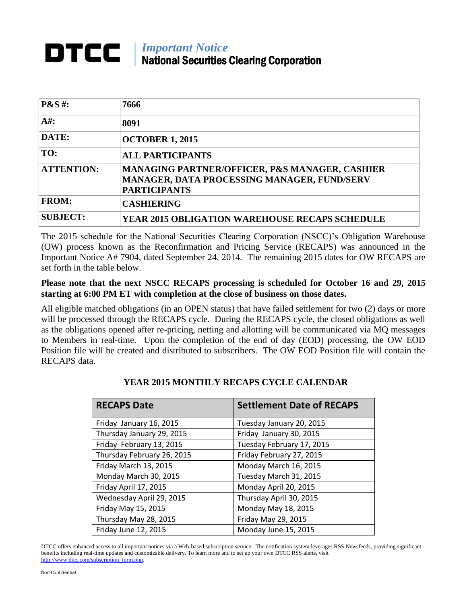## *Important Notice* National Securities Clearing Corporation

| <b>P&amp;S#:</b>  | 7666                                                                                                                 |
|-------------------|----------------------------------------------------------------------------------------------------------------------|
| $A#$ :            | 8091                                                                                                                 |
| DATE:             | <b>OCTOBER 1, 2015</b>                                                                                               |
| TO:               | <b>ALL PARTICIPANTS</b>                                                                                              |
| <b>ATTENTION:</b> | MANAGING PARTNER/OFFICER, P&S MANAGER, CASHIER<br>MANAGER, DATA PROCESSING MANAGER, FUND/SERV<br><b>PARTICIPANTS</b> |
| <b>FROM:</b>      | <b>CASHIERING</b>                                                                                                    |
| <b>SUBJECT:</b>   | <b>YEAR 2015 OBLIGATION WAREHOUSE RECAPS SCHEDULE</b>                                                                |

The 2015 schedule for the National Securities Clearing Corporation (NSCC)'s Obligation Warehouse (OW) process known as the Reconfirmation and Pricing Service (RECAPS) was announced in the Important Notice A# 7904, dated September 24, 2014. The remaining 2015 dates for OW RECAPS are set forth in the table below.

## **Please note that the next NSCC RECAPS processing is scheduled for October 16 and 29, 2015 starting at 6:00 PM ET with completion at the close of business on those dates.**

All eligible matched obligations (in an OPEN status) that have failed settlement for two (2) days or more will be processed through the RECAPS cycle. During the RECAPS cycle, the closed obligations as well as the obligations opened after re-pricing, netting and allotting will be communicated via MQ messages to Members in real-time. Upon the completion of the end of day (EOD) processing, the OW EOD Position file will be created and distributed to subscribers. The OW EOD Position file will contain the RECAPS data.

| <b>RECAPS Date</b>         | <b>Settlement Date of RECAPS</b> |
|----------------------------|----------------------------------|
| Friday January 16, 2015    | Tuesday January 20, 2015         |
| Thursday January 29, 2015  | Friday January 30, 2015          |
| Friday February 13, 2015   | Tuesday February 17, 2015        |
| Thursday February 26, 2015 | Friday February 27, 2015         |
| Friday March 13, 2015      | Monday March 16, 2015            |
| Monday March 30, 2015      | Tuesday March 31, 2015           |
| Friday April 17, 2015      | Monday April 20, 2015            |
| Wednesday April 29, 2015   | Thursday April 30, 2015          |
| Friday May 15, 2015        | Monday May 18, 2015              |
| Thursday May 28, 2015      | Friday May 29, 2015              |
| Friday June 12, 2015       | Monday June 15, 2015             |

## **YEAR 2015 MONTHLY RECAPS CYCLE CALENDAR**

DTCC offers enhanced access to all important notices via a Web-based subscription service. The notification system leverages RSS Newsfeeds, providing significant benefits including real-time updates and customizable delivery. To learn more and to set up your own DTCC RSS alerts, visit [http://www.dtcc.com/subscription\\_form.php.](http://www.dtcc.com/subscription_form.php)